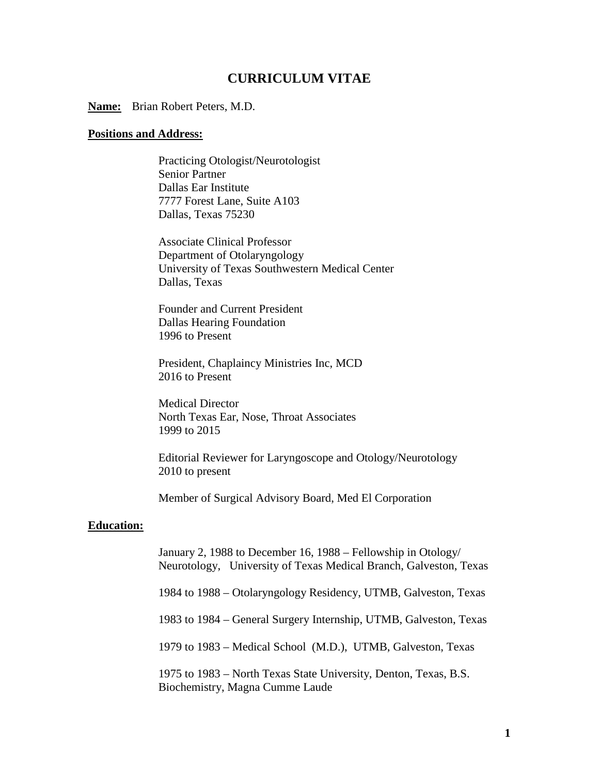# **CURRICULUM VITAE**

**Name:** Brian Robert Peters, M.D.

#### **Positions and Address:**

Practicing Otologist/Neurotologist Senior Partner Dallas Ear Institute 7777 Forest Lane, Suite A103 Dallas, Texas 75230

Associate Clinical Professor Department of Otolaryngology University of Texas Southwestern Medical Center Dallas, Texas

Founder and Current President Dallas Hearing Foundation 1996 to Present

President, Chaplaincy Ministries Inc, MCD 2016 to Present

Medical Director North Texas Ear, Nose, Throat Associates 1999 to 2015

 Editorial Reviewer for Laryngoscope and Otology/Neurotology 2010 to present

Member of Surgical Advisory Board, Med El Corporation

#### **Education:**

January 2, 1988 to December 16, 1988 – Fellowship in Otology/ Neurotology, University of Texas Medical Branch, Galveston, Texas

1984 to 1988 – Otolaryngology Residency, UTMB, Galveston, Texas

1983 to 1984 – General Surgery Internship, UTMB, Galveston, Texas

1979 to 1983 – Medical School (M.D.), UTMB, Galveston, Texas

1975 to 1983 – North Texas State University, Denton, Texas, B.S. Biochemistry, Magna Cumme Laude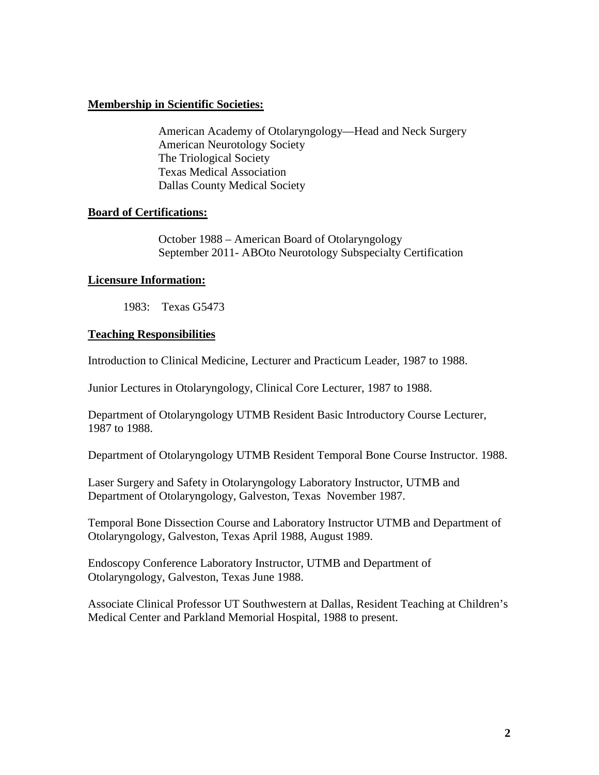## **Membership in Scientific Societies:**

American Academy of Otolaryngology—Head and Neck Surgery American Neurotology Society The Triological Society Texas Medical Association Dallas County Medical Society

## **Board of Certifications:**

October 1988 – American Board of Otolaryngology September 2011- ABOto Neurotology Subspecialty Certification

## **Licensure Information:**

1983: Texas G5473

## **Teaching Responsibilities**

Introduction to Clinical Medicine, Lecturer and Practicum Leader, 1987 to 1988.

Junior Lectures in Otolaryngology, Clinical Core Lecturer, 1987 to 1988.

Department of Otolaryngology UTMB Resident Basic Introductory Course Lecturer, 1987 to 1988.

Department of Otolaryngology UTMB Resident Temporal Bone Course Instructor. 1988.

Laser Surgery and Safety in Otolaryngology Laboratory Instructor, UTMB and Department of Otolaryngology, Galveston, Texas November 1987.

Temporal Bone Dissection Course and Laboratory Instructor UTMB and Department of Otolaryngology, Galveston, Texas April 1988, August 1989.

Endoscopy Conference Laboratory Instructor, UTMB and Department of Otolaryngology, Galveston, Texas June 1988.

Associate Clinical Professor UT Southwestern at Dallas, Resident Teaching at Children's Medical Center and Parkland Memorial Hospital, 1988 to present.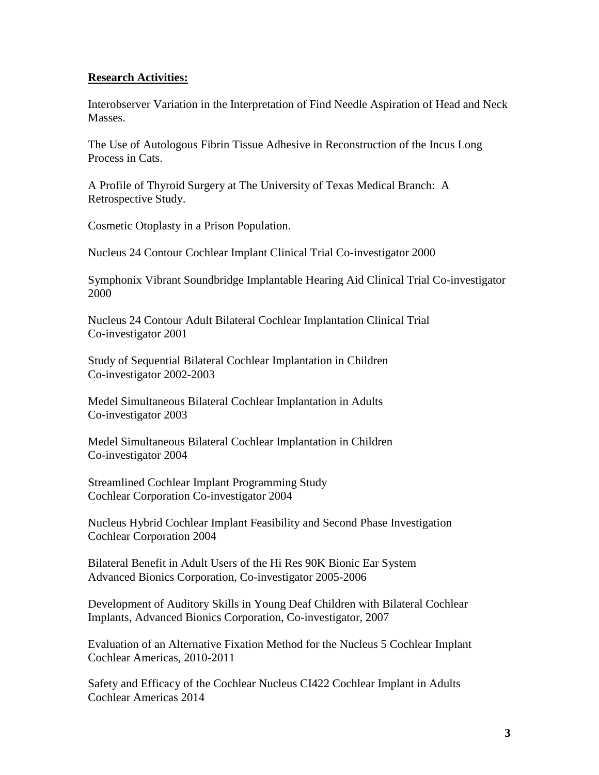#### **Research Activities:**

Interobserver Variation in the Interpretation of Find Needle Aspiration of Head and Neck Masses.

The Use of Autologous Fibrin Tissue Adhesive in Reconstruction of the Incus Long Process in Cats.

A Profile of Thyroid Surgery at The University of Texas Medical Branch: A Retrospective Study.

Cosmetic Otoplasty in a Prison Population.

Nucleus 24 Contour Cochlear Implant Clinical Trial Co-investigator 2000

Symphonix Vibrant Soundbridge Implantable Hearing Aid Clinical Trial Co-investigator 2000

Nucleus 24 Contour Adult Bilateral Cochlear Implantation Clinical Trial Co-investigator 2001

Study of Sequential Bilateral Cochlear Implantation in Children Co-investigator 2002-2003

Medel Simultaneous Bilateral Cochlear Implantation in Adults Co-investigator 2003

Medel Simultaneous Bilateral Cochlear Implantation in Children Co-investigator 2004

Streamlined Cochlear Implant Programming Study Cochlear Corporation Co-investigator 2004

Nucleus Hybrid Cochlear Implant Feasibility and Second Phase Investigation Cochlear Corporation 2004

Bilateral Benefit in Adult Users of the Hi Res 90K Bionic Ear System Advanced Bionics Corporation, Co-investigator 2005-2006

Development of Auditory Skills in Young Deaf Children with Bilateral Cochlear Implants, Advanced Bionics Corporation, Co-investigator, 2007

Evaluation of an Alternative Fixation Method for the Nucleus 5 Cochlear Implant Cochlear Americas, 2010-2011

Safety and Efficacy of the Cochlear Nucleus CI422 Cochlear Implant in Adults Cochlear Americas 2014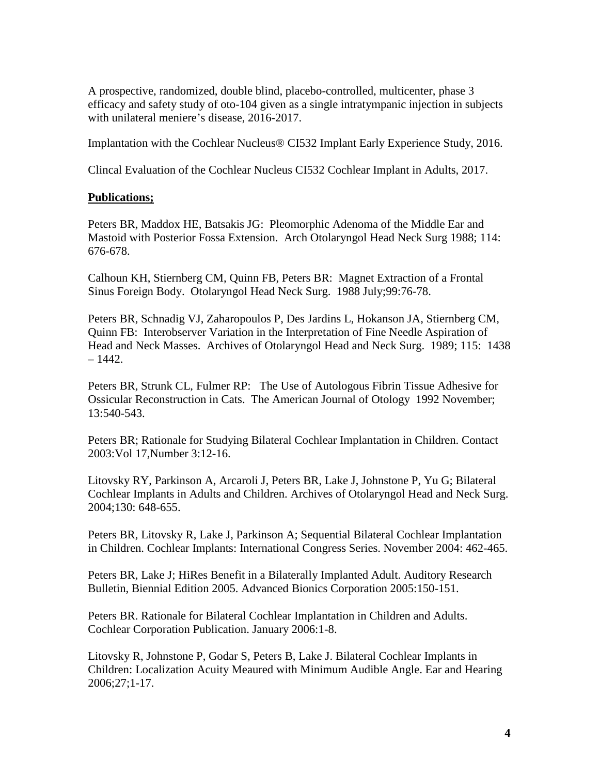A prospective, randomized, double blind, placebo-controlled, multicenter, phase 3 efficacy and safety study of oto-104 given as a single intratympanic injection in subjects with unilateral meniere's disease, 2016-2017.

Implantation with the Cochlear Nucleus® CI532 Implant Early Experience Study, 2016.

Clincal Evaluation of the Cochlear Nucleus CI532 Cochlear Implant in Adults, 2017.

## **Publications;**

Peters BR, Maddox HE, Batsakis JG: Pleomorphic Adenoma of the Middle Ear and Mastoid with Posterior Fossa Extension. Arch Otolaryngol Head Neck Surg 1988; 114: 676-678.

Calhoun KH, Stiernberg CM, Quinn FB, Peters BR: Magnet Extraction of a Frontal Sinus Foreign Body. Otolaryngol Head Neck Surg. 1988 July;99:76-78.

Peters BR, Schnadig VJ, Zaharopoulos P, Des Jardins L, Hokanson JA, Stiernberg CM, Quinn FB: Interobserver Variation in the Interpretation of Fine Needle Aspiration of Head and Neck Masses. Archives of Otolaryngol Head and Neck Surg. 1989; 115: 1438  $-1442.$ 

Peters BR, Strunk CL, Fulmer RP: The Use of Autologous Fibrin Tissue Adhesive for Ossicular Reconstruction in Cats. The American Journal of Otology 1992 November; 13:540-543.

Peters BR; Rationale for Studying Bilateral Cochlear Implantation in Children. Contact 2003:Vol 17,Number 3:12-16.

Litovsky RY, Parkinson A, Arcaroli J, Peters BR, Lake J, Johnstone P, Yu G; Bilateral Cochlear Implants in Adults and Children. Archives of Otolaryngol Head and Neck Surg. 2004;130: 648-655.

Peters BR, Litovsky R, Lake J, Parkinson A; Sequential Bilateral Cochlear Implantation in Children. Cochlear Implants: International Congress Series. November 2004: 462-465.

Peters BR, Lake J; HiRes Benefit in a Bilaterally Implanted Adult. Auditory Research Bulletin, Biennial Edition 2005. Advanced Bionics Corporation 2005:150-151.

Peters BR. Rationale for Bilateral Cochlear Implantation in Children and Adults. Cochlear Corporation Publication. January 2006:1-8.

Litovsky R, Johnstone P, Godar S, Peters B, Lake J. Bilateral Cochlear Implants in Children: Localization Acuity Meaured with Minimum Audible Angle. Ear and Hearing 2006;27;1-17.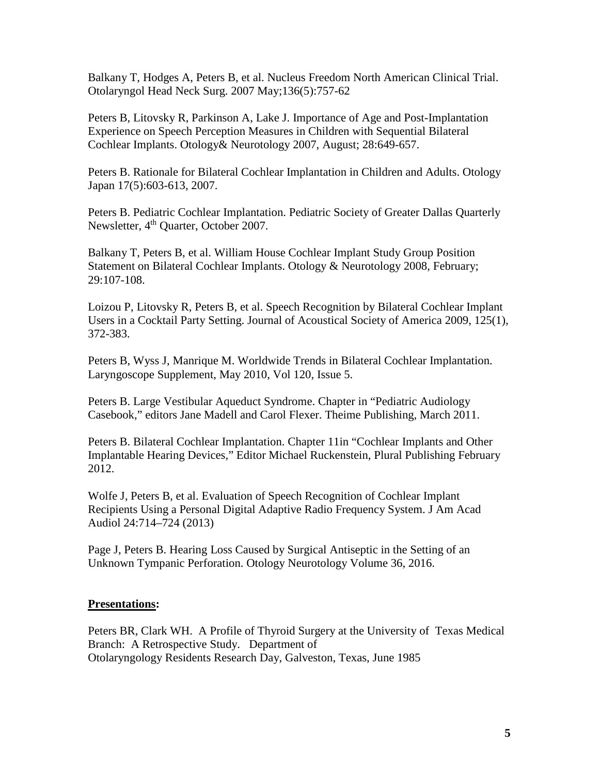Balkany T, Hodges A, Peters B, et al. Nucleus Freedom North American Clinical Trial. [Otolaryngol Head Neck Surg.](javascript:AL_get(this,%20) 2007 May;136(5):757-62

Peters B, Litovsky R, Parkinson A, Lake J. Importance of Age and Post-Implantation Experience on Speech Perception Measures in Children with Sequential Bilateral Cochlear Implants. Otology& Neurotology 2007, August; 28:649-657.

Peters B. Rationale for Bilateral Cochlear Implantation in Children and Adults. Otology Japan 17(5):603-613, 2007.

Peters B. Pediatric Cochlear Implantation. Pediatric Society of Greater Dallas Quarterly Newsletter, 4<sup>th</sup> Quarter, October 2007.

Balkany T, Peters B, et al. William House Cochlear Implant Study Group Position Statement on Bilateral Cochlear Implants. Otology & Neurotology 2008, February; 29:107-108.

Loizou P, Litovsky R, Peters B, et al. Speech Recognition by Bilateral Cochlear Implant Users in a Cocktail Party Setting. Journal of Acoustical Society of America 2009, 125(1), 372-383.

Peters B, Wyss J, Manrique M. Worldwide Trends in Bilateral Cochlear Implantation. Laryngoscope Supplement, May 2010, Vol 120, Issue 5.

Peters B. Large Vestibular Aqueduct Syndrome. Chapter in "Pediatric Audiology Casebook," editors Jane Madell and Carol Flexer. Theime Publishing, March 2011.

Peters B. Bilateral Cochlear Implantation. Chapter 11in "Cochlear Implants and Other Implantable Hearing Devices," Editor Michael Ruckenstein, Plural Publishing February 2012.

Wolfe J, Peters B, et al. Evaluation of Speech Recognition of Cochlear Implant Recipients Using a Personal Digital Adaptive Radio Frequency System. J Am Acad Audiol 24:714–724 (2013)

Page J, Peters B. Hearing Loss Caused by Surgical Antiseptic in the Setting of an Unknown Tympanic Perforation. Otology Neurotology Volume 36, 2016.

#### **Presentations:**

Peters BR, Clark WH. A Profile of Thyroid Surgery at the University of Texas Medical Branch: A Retrospective Study. Department of Otolaryngology Residents Research Day, Galveston, Texas, June 1985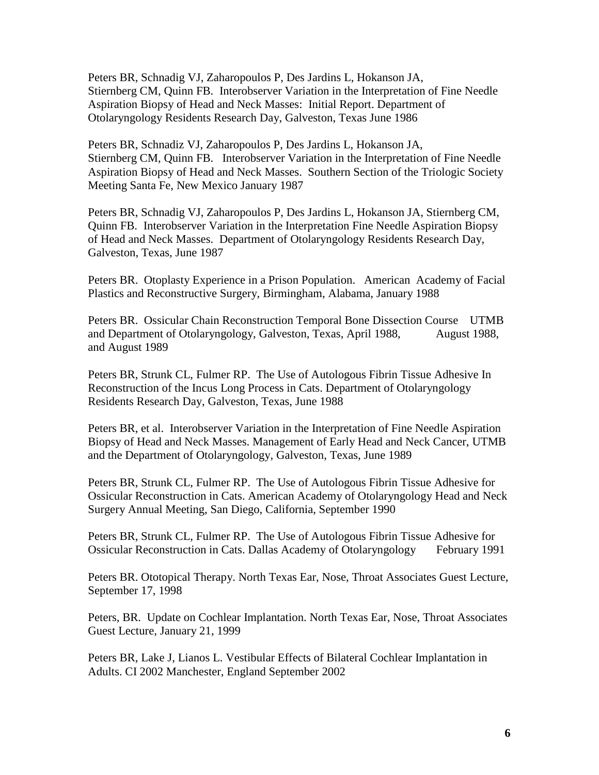Peters BR, Schnadig VJ, Zaharopoulos P, Des Jardins L, Hokanson JA, Stiernberg CM, Quinn FB. Interobserver Variation in the Interpretation of Fine Needle Aspiration Biopsy of Head and Neck Masses: Initial Report. Department of Otolaryngology Residents Research Day, Galveston, Texas June 1986

Peters BR, Schnadiz VJ, Zaharopoulos P, Des Jardins L, Hokanson JA, Stiernberg CM, Quinn FB. Interobserver Variation in the Interpretation of Fine Needle Aspiration Biopsy of Head and Neck Masses. Southern Section of the Triologic Society Meeting Santa Fe, New Mexico January 1987

Peters BR, Schnadig VJ, Zaharopoulos P, Des Jardins L, Hokanson JA, Stiernberg CM, Quinn FB. Interobserver Variation in the Interpretation Fine Needle Aspiration Biopsy of Head and Neck Masses. Department of Otolaryngology Residents Research Day, Galveston, Texas, June 1987

Peters BR. Otoplasty Experience in a Prison Population. American Academy of Facial Plastics and Reconstructive Surgery, Birmingham, Alabama, January 1988

Peters BR. Ossicular Chain Reconstruction Temporal Bone Dissection Course UTMB and Department of Otolaryngology, Galveston, Texas, April 1988, August 1988, and August 1989

Peters BR, Strunk CL, Fulmer RP. The Use of Autologous Fibrin Tissue Adhesive In Reconstruction of the Incus Long Process in Cats. Department of Otolaryngology Residents Research Day, Galveston, Texas, June 1988

Peters BR, et al. Interobserver Variation in the Interpretation of Fine Needle Aspiration Biopsy of Head and Neck Masses. Management of Early Head and Neck Cancer, UTMB and the Department of Otolaryngology, Galveston, Texas, June 1989

Peters BR, Strunk CL, Fulmer RP. The Use of Autologous Fibrin Tissue Adhesive for Ossicular Reconstruction in Cats. American Academy of Otolaryngology Head and Neck Surgery Annual Meeting, San Diego, California, September 1990

Peters BR, Strunk CL, Fulmer RP. The Use of Autologous Fibrin Tissue Adhesive for Ossicular Reconstruction in Cats. Dallas Academy of Otolaryngology February 1991

Peters BR. Ototopical Therapy. North Texas Ear, Nose, Throat Associates Guest Lecture, September 17, 1998

Peters, BR. Update on Cochlear Implantation. North Texas Ear, Nose, Throat Associates Guest Lecture, January 21, 1999

Peters BR, Lake J, Lianos L. Vestibular Effects of Bilateral Cochlear Implantation in Adults. CI 2002 Manchester, England September 2002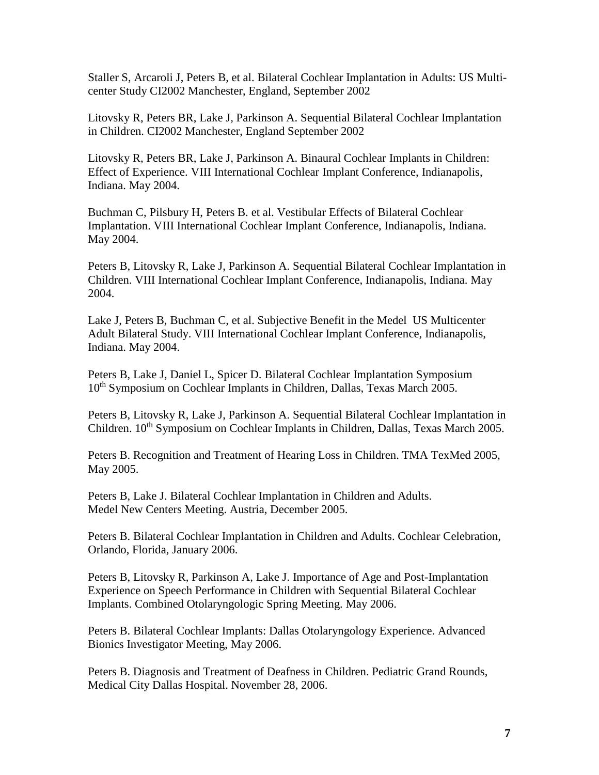Staller S, Arcaroli J, Peters B, et al. Bilateral Cochlear Implantation in Adults: US Multicenter Study CI2002 Manchester, England, September 2002

Litovsky R, Peters BR, Lake J, Parkinson A. Sequential Bilateral Cochlear Implantation in Children. CI2002 Manchester, England September 2002

Litovsky R, Peters BR, Lake J, Parkinson A. Binaural Cochlear Implants in Children: Effect of Experience. VIII International Cochlear Implant Conference, Indianapolis, Indiana. May 2004.

Buchman C, Pilsbury H, Peters B. et al. Vestibular Effects of Bilateral Cochlear Implantation. VIII International Cochlear Implant Conference, Indianapolis, Indiana. May 2004.

Peters B, Litovsky R, Lake J, Parkinson A. Sequential Bilateral Cochlear Implantation in Children. VIII International Cochlear Implant Conference, Indianapolis, Indiana. May 2004.

Lake J, Peters B, Buchman C, et al. Subjective Benefit in the Medel US Multicenter Adult Bilateral Study. VIII International Cochlear Implant Conference, Indianapolis, Indiana. May 2004.

Peters B, Lake J, Daniel L, Spicer D. Bilateral Cochlear Implantation Symposium 10<sup>th</sup> Symposium on Cochlear Implants in Children, Dallas, Texas March 2005.

Peters B, Litovsky R, Lake J, Parkinson A. Sequential Bilateral Cochlear Implantation in Children. 10<sup>th</sup> Symposium on Cochlear Implants in Children, Dallas, Texas March 2005.

Peters B. Recognition and Treatment of Hearing Loss in Children. TMA TexMed 2005, May 2005.

Peters B, Lake J. Bilateral Cochlear Implantation in Children and Adults. Medel New Centers Meeting. Austria, December 2005.

Peters B. Bilateral Cochlear Implantation in Children and Adults. Cochlear Celebration, Orlando, Florida, January 2006.

Peters B, Litovsky R, Parkinson A, Lake J. Importance of Age and Post-Implantation Experience on Speech Performance in Children with Sequential Bilateral Cochlear Implants. Combined Otolaryngologic Spring Meeting. May 2006.

Peters B. Bilateral Cochlear Implants: Dallas Otolaryngology Experience. Advanced Bionics Investigator Meeting, May 2006.

Peters B. Diagnosis and Treatment of Deafness in Children. Pediatric Grand Rounds, Medical City Dallas Hospital. November 28, 2006.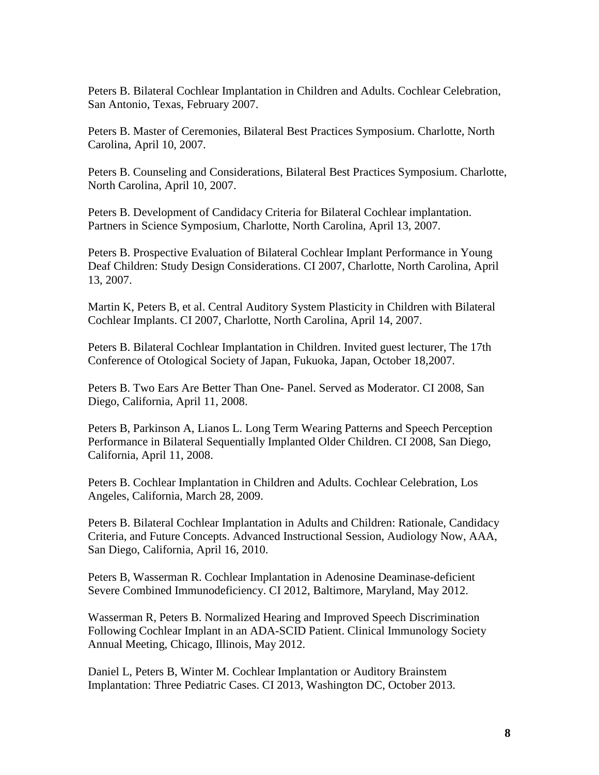Peters B. Bilateral Cochlear Implantation in Children and Adults. Cochlear Celebration, San Antonio, Texas, February 2007.

Peters B. Master of Ceremonies, Bilateral Best Practices Symposium. Charlotte, North Carolina, April 10, 2007.

Peters B. Counseling and Considerations, Bilateral Best Practices Symposium. Charlotte, North Carolina, April 10, 2007.

Peters B. Development of Candidacy Criteria for Bilateral Cochlear implantation. Partners in Science Symposium, Charlotte, North Carolina, April 13, 2007.

Peters B. Prospective Evaluation of Bilateral Cochlear Implant Performance in Young Deaf Children: Study Design Considerations. CI 2007, Charlotte, North Carolina, April 13, 2007.

Martin K, Peters B, et al. Central Auditory System Plasticity in Children with Bilateral Cochlear Implants. CI 2007, Charlotte, North Carolina, April 14, 2007.

Peters B. Bilateral Cochlear Implantation in Children. Invited guest lecturer, The 17th Conference of Otological Society of Japan, Fukuoka, Japan, October 18,2007.

Peters B. Two Ears Are Better Than One- Panel. Served as Moderator. CI 2008, San Diego, California, April 11, 2008.

Peters B, Parkinson A, Lianos L. Long Term Wearing Patterns and Speech Perception Performance in Bilateral Sequentially Implanted Older Children. CI 2008, San Diego, California, April 11, 2008.

Peters B. Cochlear Implantation in Children and Adults. Cochlear Celebration, Los Angeles, California, March 28, 2009.

Peters B. Bilateral Cochlear Implantation in Adults and Children: Rationale, Candidacy Criteria, and Future Concepts. Advanced Instructional Session, Audiology Now, AAA, San Diego, California, April 16, 2010.

Peters B, Wasserman R. Cochlear Implantation in Adenosine Deaminase-deficient Severe Combined Immunodeficiency. CI 2012, Baltimore, Maryland, May 2012.

Wasserman R, Peters B. Normalized Hearing and Improved Speech Discrimination Following Cochlear Implant in an ADA-SCID Patient. Clinical Immunology Society Annual Meeting, Chicago, Illinois, May 2012.

Daniel L, Peters B, Winter M. Cochlear Implantation or Auditory Brainstem Implantation: Three Pediatric Cases. CI 2013, Washington DC, October 2013.